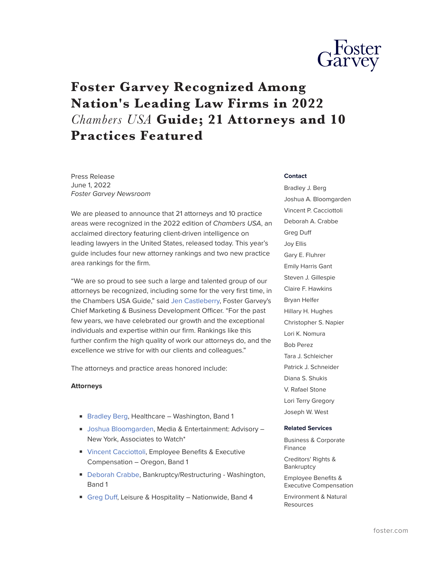

# **Foster Garvey Recognized Among Nation's Leading Law Firms in 2022** *Chambers USA* **Guide; 21 Attorneys and 10 Practices Featured**

Press Release June 1, 2022 *Foster Garvey Newsroom*

We are pleased to announce that 21 attorneys and 10 practice areas were recognized in the 2022 edition of *Chambers USA*, an acclaimed directory featuring client-driven intelligence on leading lawyers in the United States, released today. This year's guide includes four new attorney rankings and two new practice area rankings for the firm.

"We are so proud to see such a large and talented group of our attorneys be recognized, including some for the very first time, in the Chambers USA Guide," said [Jen Castleberry,](https://www.foster.com/people-jen-castleberry) Foster Garvey's Chief Marketing & Business Development Officer. "For the past few years, we have celebrated our growth and the exceptional individuals and expertise within our firm. Rankings like this further confirm the high quality of work our attorneys do, and the excellence we strive for with our clients and colleagues."

The attorneys and practice areas honored include:

#### **Attorneys**

- [Bradley Berg,](https://fp.foster.com/collect/click.aspx?u=NGMzazZMTGJ0NFFTQ3loR05vTlI2YjQ0OEdZNUpkVVQzR3haNUlwRjRDSmZQVTFYWjkrU2VPSmgvSVVob1I1Z05tSTE1cGl2aHU3R2dEZ0dZemZYTkMxWUlaMmowcUZy&ch=3b27cab1bfeebfaaa0e812d75b54d87976fbc07c) Healthcare Washington, Band 1
- [Joshua Bloomgarden](https://fp.foster.com/collect/click.aspx?u=NGMzazZMTGJ0NFFTQ3loR05vTlI2YjQ0OEdZNUpkVVQzR3haNUlwRjRDSmZQVTFYWjkrU2VPSmgvSVVob1I1Z05tSTE1cGl2aHU1aE1ncG5qODZqbmUyYmxnd2pjK3dZY2NITVQrWE5xQlU9&ch=3b27cab1bfeebfaaa0e812d75b54d87976fbc07c), Media & Entertainment: Advisory New York, Associates to Watch\*
- [Vincent Cacciottoli,](https://fp.foster.com/collect/click.aspx?u=NGMzazZMTGJ0NFFTQ3loR05vTlI2YjQ0OEdZNUpkVVQzR3haNUlwRjRDSmZQVTFYWjkrU2VPSmgvSVVob1I1Z05tSTE1cGl2aHU2WjY4M0E4NElFVGFTelhkeCtzVFAzbWdadUc4R2pvVzg9&ch=3b27cab1bfeebfaaa0e812d75b54d87976fbc07c) Employee Benefits & Executive Compensation – Oregon, Band 1
- [Deborah Crabbe](https://fp.foster.com/collect/click.aspx?u=NGMzazZMTGJ0NFFTQ3loR05vTlI2YjQ0OEdZNUpkVVQzR3haNUlwRjRDSmZQVTFYWjkrU2VPSmgvSVVob1I1Z05tSTE1cGl2aHU0aUlFdldqWTRlT3FMektWUUZTSGtH&ch=3b27cab1bfeebfaaa0e812d75b54d87976fbc07c), Bankruptcy/Restructuring Washington, Band 1
- [Greg Duff,](https://fp.foster.com/collect/click.aspx?u=NGMzazZMTGJ0NFFTQ3loR05vTlI2YjQ0OEdZNUpkVVQzR3haNUlwRjRDSmZQVTFYWjkrU2VPSmgvSVVob1I1Z05tSTE1cGl2aHU0emxlenVXRTB2eTNOV2RiRk1kMHlX&ch=3b27cab1bfeebfaaa0e812d75b54d87976fbc07c) Leisure & Hospitality Nationwide, Band 4

#### **Contact**

Bradley J. Berg Joshua A. Bloomgarden Vincent P. Cacciottoli Deborah A. Crabbe Greg Duff Joy Ellis Gary E. Fluhrer Emily Harris Gant Steven J. Gillespie Claire F. Hawkins Bryan Helfer Hillary H. Hughes Christopher S. Napier Lori K. Nomura Bob Perez Tara J. Schleicher Patrick J. Schneider Diana S. Shukis V. Rafael Stone Lori Terry Gregory Joseph W. West

#### **Related Services**

Business & Corporate Finance

Creditors' Rights & **Bankruptcy** 

Employee Benefits & Executive Compensation

Environment & Natural Resources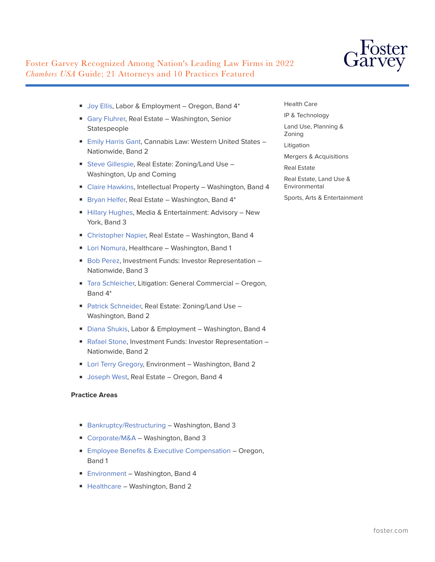

# Foster Garvey Recognized Among Nation's Leading Law Firms in 2022 *Chambers USA* Guide; 21 Attorneys and 10 Practices Featured

- [Joy Ellis](https://fp.foster.com/collect/click.aspx?u=NGMzazZMTGJ0NFFTQ3loR05vTlI2YjQ0OEdZNUpkVVQzR3haNUlwRjRDSmZQVTFYWjkrU2VPSmgvSVVob1I1Z05tSTE1cGl2aHU0T2hMbG5kWTd3Njc1Vjg4REJZQ3ZX&ch=3b27cab1bfeebfaaa0e812d75b54d87976fbc07c), Labor & Employment Oregon, Band 4\*
- [Gary Fluhrer,](https://fp.foster.com/collect/click.aspx?u=NGMzazZMTGJ0NFFTQ3loR05vTlI2YjQ0OEdZNUpkVVQzR3haNUlwRjRDSmZQVTFYWjkrU2VPSmgvSVVob1I1Z05tSTE1cGl2aHU3ck1pRVNib0tPUUFpd2h0b3NIek90&ch=3b27cab1bfeebfaaa0e812d75b54d87976fbc07c) Real Estate Washington, Senior Statespeople
- [Emily Harris Gant](https://fp.foster.com/collect/click.aspx?u=NGMzazZMTGJ0NFFTQ3loR05vTlI2YjQ0OEdZNUpkVVQzR3haNUlwRjRDSmZQVTFYWjkrU2VPSmgvSVVob1I1Z05tSTE1cGl2aHU2VEJZQk5lck5UTzl4WU44b0ZqdXp0&ch=3b27cab1bfeebfaaa0e812d75b54d87976fbc07c), Cannabis Law: Western United States -Nationwide, Band 2
- [Steve Gillespie](https://fp.foster.com/collect/click.aspx?u=NGMzazZMTGJ0NFFTQ3loR05vTlI2YjQ0OEdZNUpkVVQzR3haNUlwRjRDSmZQVTFYWjkrU2VPSmgvSVVob1I1Z05tSTE1cGl2aHU2Y0VQbTMxMWswTlREdWJGZERLTFZhZ2VuS0Z6L3BLK1k9&ch=3b27cab1bfeebfaaa0e812d75b54d87976fbc07c), Real Estate: Zoning/Land Use Washington, Up and Coming
- [Claire Hawkins](https://fp.foster.com/collect/click.aspx?u=NGMzazZMTGJ0NFFTQ3loR05vTlI2YjQ0OEdZNUpkVVQzR3haNUlwRjRDSmZQVTFYWjkrU2VPSmgvSVVob1I1Z05tSTE1cGl2aHU3RTQrdlJrbU8zZ044QlVvaWVMbkNQ&ch=3b27cab1bfeebfaaa0e812d75b54d87976fbc07c), Intellectual Property Washington, Band 4
- **[Bryan Helfer,](https://fp.foster.com/collect/click.aspx?u=NGMzazZMTGJ0NFFTQ3loR05vTlI2YjQ0OEdZNUpkVVQzR3haNUlwRjRDSmZQVTFYWjkrU2VPSmgvSVVob1I1Z05tSTE1cGl2aHU3V1FEbm5wdEpmZ0hzckQzdWZKbk1E&ch=3b27cab1bfeebfaaa0e812d75b54d87976fbc07c) Real Estate Washington, Band 4\***
- [Hillary Hughes](https://fp.foster.com/collect/click.aspx?u=NGMzazZMTGJ0NFFTQ3loR05vTlI2YjQ0OEdZNUpkVVQzR3haNUlwRjRDSmZQVTFYWjkrU2VPSmgvSVVob1I1Z05tSTE1cGl2aHU0L1ptTlA0cjRYdlNaejlmUzYwTERx&ch=3b27cab1bfeebfaaa0e812d75b54d87976fbc07c), Media & Entertainment: Advisory New York, Band 3
- [Christopher Napier,](https://fp.foster.com/collect/click.aspx?u=NGMzazZMTGJ0NFFTQ3loR05vTlI2YjQ0OEdZNUpkVVQzR3haNUlwRjRDSmZQVTFYWjkrU2VPSmgvSVVob1I1Z05tSTE1cGl2aHU0SVdNcDVtSmw4MWZ4dFplT2owZ0d3Y3VSVVJIVkM0Q0U9&ch=3b27cab1bfeebfaaa0e812d75b54d87976fbc07c) Real Estate Washington, Band 4
- [Lori Nomura,](https://fp.foster.com/collect/click.aspx?u=NGMzazZMTGJ0NFFTQ3loR05vTlI2YjQ0OEdZNUpkVVQzR3haNUlwRjRDSmZQVTFYWjkrU2VPSmgvSVVob1I1Z05tSTE1cGl2aHU1L200S2JXV0NTMVFoaVh4bk1aaU84&ch=3b27cab1bfeebfaaa0e812d75b54d87976fbc07c) Healthcare Washington, Band 1
- [Bob Perez](https://fp.foster.com/collect/click.aspx?u=NGMzazZMTGJ0NFFTQ3loR05vTlI2YjQ0OEdZNUpkVVQzR3haNUlwRjRDSmZQVTFYWjkrU2VPSmgvSVVob1I1Z05tSTE1cGl2aHU1NTE5M0dzZEgwRTV6TUZ0bEVSbDNk&ch=3b27cab1bfeebfaaa0e812d75b54d87976fbc07c), Investment Funds: Investor Representation Nationwide, Band 3
- [Tara Schleicher,](https://fp.foster.com/collect/click.aspx?u=NGMzazZMTGJ0NFFTQ3loR05vTlI2YjQ0OEdZNUpkVVQzR3haNUlwRjRDSmZQVTFYWjkrU2VPSmgvSVVob1I1Z05tSTE1cGl2aHU1cjhoMm9pNTBacUpzRGV4OXNNeWIx&ch=3b27cab1bfeebfaaa0e812d75b54d87976fbc07c) Litigation: General Commercial Oregon, Band 4\*
- [Patrick Schneider,](https://fp.foster.com/collect/click.aspx?u=NGMzazZMTGJ0NFFTQ3loR05vTlI2YjQ0OEdZNUpkVVQzR3haNUlwRjRDSmZQVTFYWjkrU2VPSmgvSVVob1I1Z05tSTE1cGl2aHU2S2o3NWZmM1pPd2VXekNDUTlMYXh6S010bEtGUFJlSEU9&ch=3b27cab1bfeebfaaa0e812d75b54d87976fbc07c) Real Estate: Zoning/Land Use Washington, Band 2
- [Diana Shukis,](https://fp.foster.com/collect/click.aspx?u=NGMzazZMTGJ0NFFTQ3loR05vTlI2YjQ0OEdZNUpkVVQzR3haNUlwRjRDSmZQVTFYWjkrU2VPSmgvSVVob1I1Z05tSTE1cGl2aHU0aXQ2M0FoOGZXTjlCZHdoRzNwVmIx&ch=3b27cab1bfeebfaaa0e812d75b54d87976fbc07c) Labor & Employment Washington, Band 4
- [Rafael Stone](https://fp.foster.com/collect/click.aspx?u=NGMzazZMTGJ0NFFTQ3loR05vTlI2YjQ0OEdZNUpkVVQzR3haNUlwRjRDSmZQVTFYWjkrU2VPSmgvSVVob1I1Z05tSTE1cGl2aHU3V3NpUHlXdDhQOUlSZmw1Ky84UXZF&ch=3b27cab1bfeebfaaa0e812d75b54d87976fbc07c), Investment Funds: Investor Representation Nationwide, Band 2
- [Lori Terry Gregory,](https://fp.foster.com/collect/click.aspx?u=NGMzazZMTGJ0NFFTQ3loR05vTlI2YjQ0OEdZNUpkVVQzR3haNUlwRjRDSmZQVTFYWjkrU2VPSmgvSVVob1I1Z05tSTE1cGl2aHU3RURNTEh3dEdOdU9YREIxeTZSQ1ZXdyt0d1BqcnhsSFE9&ch=3b27cab1bfeebfaaa0e812d75b54d87976fbc07c) Environment Washington, Band 2
- [Joseph West](https://fp.foster.com/collect/click.aspx?u=NGMzazZMTGJ0NFFTQ3loR05vTlI2YjQ0OEdZNUpkVVQzR3haNUlwRjRDSmZQVTFYWjkrU2VPSmgvSVVob1I1Z05tSTE1cGl2aHU1WUk1MkQ0RmtneWxUQ1R6WFJsNjNh&ch=3b27cab1bfeebfaaa0e812d75b54d87976fbc07c), Real Estate Oregon, Band 4

## **Practice Areas**

- [Bankruptcy/Restructuring](https://fp.foster.com/collect/click.aspx?u=NGMzazZMTGJ0NFFTQ3loR05vTlI2YjQ0OEdZNUpkVVQzR3haNUlwRjRDSmZQVTFYWjkrU2VPSmgvSVVob1I1Z1k2STlzZTNJYkpHY2dWaVVJMm9wVWxLSHlVNkI3Y0tTcXVCMGsrZ0lGYno0TkFlUzNjdW9INmtHb0diTkNYL0w=&ch=3b27cab1bfeebfaaa0e812d75b54d87976fbc07c)  Washington, Band 3
- [Corporate/M&A](https://fp.foster.com/collect/click.aspx?u=NGMzazZMTGJ0NFFTQ3loR05vTlI2YjQ0OEdZNUpkVVQzR3haNUlwRjRDSmZQVTFYWjkrU2VPSmgvSVVob1I1Z1k2STlzZTNJYkpHY2dWaVVJMm9wVWhNNFUrWUw2UjE1NE5Ud0V3R1VnRktvUjVuS2VrbDNRSTlpRUZiT2xBV0U=&ch=3b27cab1bfeebfaaa0e812d75b54d87976fbc07c) Washington, Band 3
- [Employee Benefits & Executive Compensation](https://fp.foster.com/collect/click.aspx?u=NGMzazZMTGJ0NFFTQ3loR05vTlI2YjQ0OEdZNUpkVVQzR3haNUlwRjRDSmZQVTFYWjkrU2VPSmgvSVVob1I1Z1k2STlzZTNJYkpHY2dWaVVJMm9wVXNkVHNEUU5yU3o2ZEFTb2lTZWVtRkVGMjhUOUpPUTlTTWVZS0s0MGpKcFpIeGpZRXlFbExwamUycjY5Q3hINzRnPT0=&ch=3b27cab1bfeebfaaa0e812d75b54d87976fbc07c)  Oregon, Band 1
- [Environment](https://fp.foster.com/collect/click.aspx?u=NGMzazZMTGJ0NFFTQ3loR05vTlI2YjQ0OEdZNUpkVVQzR3haNUlwRjRDSmZQVTFYWjkrU2VPSmgvSVVob1I1Z1k2STlzZTNJYkpHY2dWaVVJMm9wVWxxbENGOGtEL1U5Z3JUdnFWM1BUSmVubjhDNzRXR2p4NHM1YmtUVnJOdEF2VkRoVjdrZU8zZz0=&ch=3b27cab1bfeebfaaa0e812d75b54d87976fbc07c) Washington, Band 4
- [Healthcare](https://fp.foster.com/collect/click.aspx?u=NGMzazZMTGJ0NFFTQ3loR05vTlI2YjQ0OEdZNUpkVVQzR3haNUlwRjRDSmZQVTFYWjkrU2VPSmgvSVVob1I1Z1k2STlzZTNJYkpHY2dWaVVJMm9wVW5XVjhJbXN2NWJRd3FQdk5FSHNzd1E9&ch=3b27cab1bfeebfaaa0e812d75b54d87976fbc07c)  Washington, Band 2

Health Care

IP & Technology Land Use, Planning & Zoning Litigation Mergers & Acquisitions Real Estate Real Estate, Land Use & Environmental Sports, Arts & Entertainment